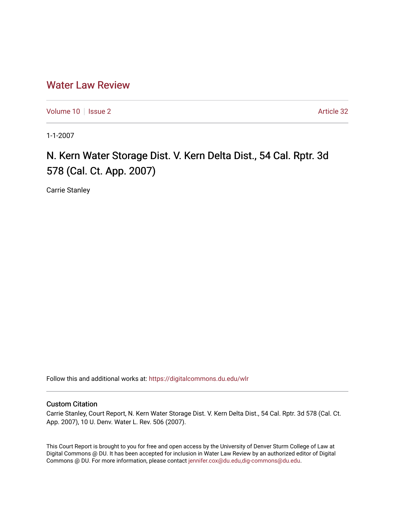# [Water Law Review](https://digitalcommons.du.edu/wlr)

[Volume 10](https://digitalcommons.du.edu/wlr/vol10) | [Issue 2](https://digitalcommons.du.edu/wlr/vol10/iss2) Article 32

1-1-2007

# N. Kern Water Storage Dist. V. Kern Delta Dist., 54 Cal. Rptr. 3d 578 (Cal. Ct. App. 2007)

Carrie Stanley

Follow this and additional works at: [https://digitalcommons.du.edu/wlr](https://digitalcommons.du.edu/wlr?utm_source=digitalcommons.du.edu%2Fwlr%2Fvol10%2Fiss2%2F32&utm_medium=PDF&utm_campaign=PDFCoverPages) 

## Custom Citation

Carrie Stanley, Court Report, N. Kern Water Storage Dist. V. Kern Delta Dist., 54 Cal. Rptr. 3d 578 (Cal. Ct. App. 2007), 10 U. Denv. Water L. Rev. 506 (2007).

This Court Report is brought to you for free and open access by the University of Denver Sturm College of Law at Digital Commons @ DU. It has been accepted for inclusion in Water Law Review by an authorized editor of Digital Commons @ DU. For more information, please contact [jennifer.cox@du.edu,dig-commons@du.edu.](mailto:jennifer.cox@du.edu,dig-commons@du.edu)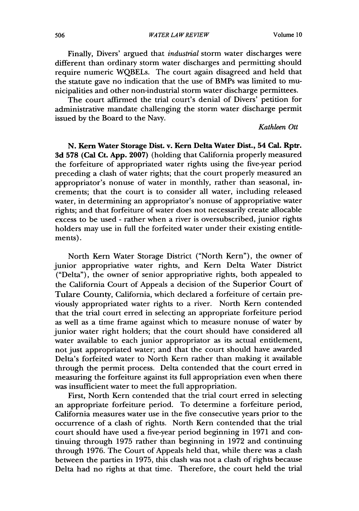Finally, Divers' argued that *industrial* storm water discharges were different than ordinary storm water discharges and permitting should require numeric WQBELs. The court again disagreed and held that the statute gave no indication that the use of BMPs was limited to municipalities and other non-industrial storm water discharge permittees.

The court affirmed the trial court's denial of Divers' petition for administrative mandate challenging the storm water discharge permit issued by the Board to the Navy.

### *Kathleen Ott*

**N.** Kern Water Storage Dist. v. Kern Delta Water Dist., 54 **Cal.** Rptr. **3d 578** (Cal Ct. **App. 2007)** (holding that California properly measured the forfeiture of appropriated water rights using the five-year period preceding a clash of water rights; that the court properly measured an appropriator's nonuse of water in monthly, rather than seasonal, increments; that the court is to consider all water, including released water, in determining an appropriator's nonuse of appropriative water rights; and that forfeiture of water does not necessarily create allocable excess to be used **-** rather when a river is oversubscribed, junior rights holders may use in full the forfeited water under their existing entitlements).

North Kern Water Storage District ("North Kern"), the owner of junior appropriative water rights, and Kern Delta Water District ("Delta"), the owner of senior appropriative rights, both appealed to the California Court of Appeals a decision of the Superior Court of Tulare County, California, which declared a forfeiture of certain previously appropriated water rights to a river. North Kern contended that the trial court erred in selecting an appropriate forfeiture period as well as a time frame against which to measure nonuse of water by junior water right holders; that the court should have considered all water available to each junior appropriator as its actual entitlement, not just appropriated water; and that the court should have awarded Delta's forfeited water to North Kern rather than making it available through the permit process. Delta contended that the court erred in measuring the forfeiture against its full appropriation even when there was insufficient water to meet the full appropriation.

First, North Kern contended that the trial court erred in selecting an appropriate forfeiture period. To determine a forfeiture period, California measures water use in the five consecutive years prior to the occurrence of a clash of rights. North Kern contended that the trial court should have used a five-year period beginning in 1971 and continuing through 1975 rather than beginning in 1972 and continuing through 1976. The Court of Appeals held that, while there was a clash between the parties in 1975, this clash was not a clash of rights because Delta had no rights at that time. Therefore, the court held the trial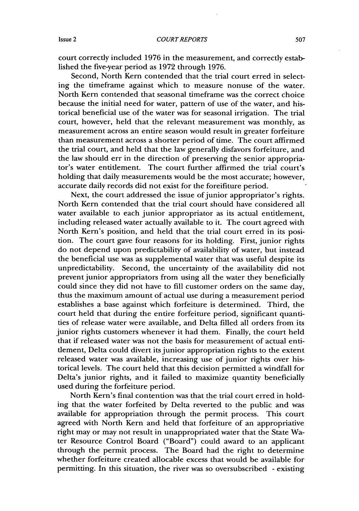court correctly included 1976 in the measurement, and correctly established the five-year period as 1972 through 1976.

Second, North Kern contended that the trial court erred in selecting the timeframe against which to measure nonuse of the water. North Kern contended that seasonal timeframe was the correct choice because the initial need for water, pattern of use of the water, and historical beneficial use of the water was for seasonal irrigation. The trial court, however, held that the relevant measurement was monthly, as measurement across an entire season would result in greater forfeiture than measurement across a shorter period of time. The court affirmed the trial court, and held that the law generally disfavors forfeiture, and the law should err in the direction of preserving the senior appropriator's water entitlement. The court further affirmed the trial court's holding that daily measurements would be the most accurate; however, accurate daily records did not exist for the foreifiture period.

Next, the court addressed the issue of junior appropriator's rights. North Kern contended that the trial court should have considered all water available to each junior appropriator as its actual entitlement, including released water actually available to it. The court agreed with North Kern's position, and held that the trial court erred in its position. The court gave four reasons for its holding. First, junior rights do not depend upon predictability of availability of water, but instead the beneficial use was as supplemental water that was useful despite its unpredictability. Second, the uncertainty of the availability did not prevent junior appropriators from using all the water they beneficially could since they did not have to fill customer orders on the same day, thus the maximum amount of actual use during a measurement period establishes a base against which forfeiture is determined. Third, the court held that during the entire forfeiture period, significant quantities of release water were available, and Delta filled all orders from its junior rights customers whenever it had them. Finally, the court held that if released water was not the basis for measurement of actual entitlement, Delta could divert its junior appropriation rights to the extent released water was available, increasing use of junior rights over historical levels. The court held that this decision permitted a windfall for Delta's junior rights, and it failed to maximize quantity beneficially used during the forfeiture period.

North Kern's final contention was that the trial court erred in holding that the water forfeited by Delta reverted to the public and was available for appropriation through the permit process. This court agreed with North Kern and held that forfeiture of an appropriative right may or may not result in unappropriated water that the State Water Resource Control Board ("Board") could award to an applicant through the permit process. The Board had the right to determine whether forfeiture created allocable excess that would be available for permitting. In this situation, the river was so oversubscribed - existing